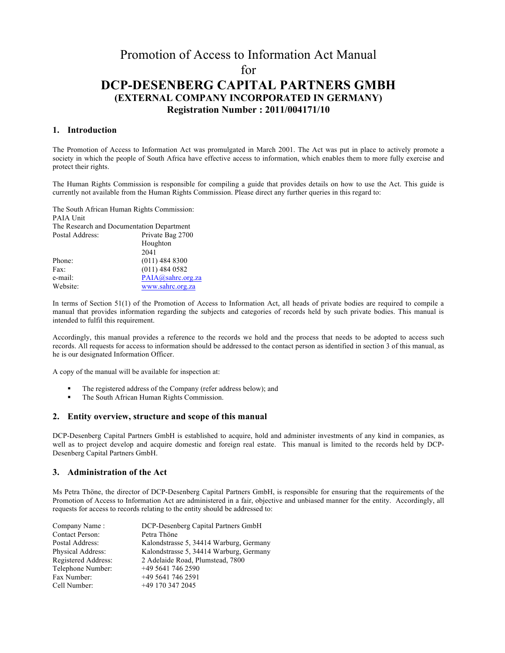# Promotion of Access to Information Act Manual for **DCP-DESENBERG CAPITAL PARTNERS GMBH (EXTERNAL COMPANY INCORPORATED IN GERMANY) Registration Number : 2011/004171/10**

## **1. Introduction**

The Promotion of Access to Information Act was promulgated in March 2001. The Act was put in place to actively promote a society in which the people of South Africa have effective access to information, which enables them to more fully exercise and protect their rights.

The Human Rights Commission is responsible for compiling a guide that provides details on how to use the Act. This guide is currently not available from the Human Rights Commission. Please direct any further queries in this regard to:

The South African Human Rights Commission: PAIA Unit The Research and Documentation Department Postal Address: Private Bag 2700 Houghton 2041 Phone: (011) 484 8300 Fax: (011) 484 0582 e-mail: PAIA@sahrc.org.za

Website: www.sahrc.org.za

In terms of Section 51(1) of the Promotion of Access to Information Act, all heads of private bodies are required to compile a manual that provides information regarding the subjects and categories of records held by such private bodies. This manual is intended to fulfil this requirement.

Accordingly, this manual provides a reference to the records we hold and the process that needs to be adopted to access such records. All requests for access to information should be addressed to the contact person as identified in section 3 of this manual, as he is our designated Information Officer.

A copy of the manual will be available for inspection at:

- ! The registered address of the Company (refer address below); and
- ! The South African Human Rights Commission.

#### **2. Entity overview, structure and scope of this manual**

DCP-Desenberg Capital Partners GmbH is established to acquire, hold and administer investments of any kind in companies, as well as to project develop and acquire domestic and foreign real estate. This manual is limited to the records held by DCP-Desenberg Capital Partners GmbH.

#### **3. Administration of the Act**

Ms Petra Thöne, the director of DCP-Desenberg Capital Partners GmbH, is responsible for ensuring that the requirements of the Promotion of Access to Information Act are administered in a fair, objective and unbiased manner for the entity. Accordingly, all requests for access to records relating to the entity should be addressed to:

| Company Name:       | DCP-Desenberg Capital Partners GmbH     |
|---------------------|-----------------------------------------|
| Contact Person:     | Petra Thöne                             |
| Postal Address:     | Kalondstrasse 5, 34414 Warburg, Germany |
| Physical Address:   | Kalondstrasse 5, 34414 Warburg, Germany |
| Registered Address: | 2 Adelaide Road, Plumstead, 7800        |
| Telephone Number:   | +49 5641 746 2590                       |
| Fax Number:         | $+4956417462591$                        |
| Cell Number:        | +49 170 347 2045                        |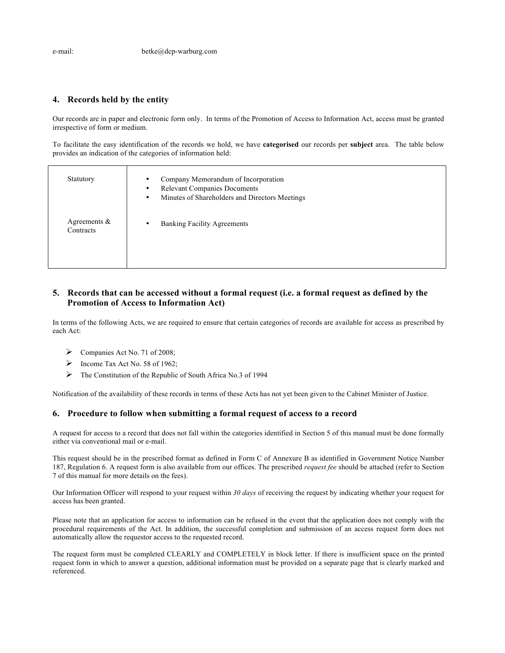## **4. Records held by the entity**

Our records are in paper and electronic form only. In terms of the Promotion of Access to Information Act, access must be granted irrespective of form or medium.

To facilitate the easy identification of the records we hold, we have **categorised** our records per **subject** area. The table below provides an indication of the categories of information held:

| Statutory                    | Company Memorandum of Incorporation<br>٠<br><b>Relevant Companies Documents</b><br>٠<br>Minutes of Shareholders and Directors Meetings<br>٠ |
|------------------------------|---------------------------------------------------------------------------------------------------------------------------------------------|
| Agreements $\&$<br>Contracts | <b>Banking Facility Agreements</b>                                                                                                          |

# **5. Records that can be accessed without a formal request (i.e. a formal request as defined by the Promotion of Access to Information Act)**

In terms of the following Acts, we are required to ensure that certain categories of records are available for access as prescribed by each Act:

- $\triangleright$  Companies Act No. 71 of 2008;
- $\triangleright$  Income Tax Act No. 58 of 1962;
- $\triangleright$  The Constitution of the Republic of South Africa No.3 of 1994

Notification of the availability of these records in terms of these Acts has not yet been given to the Cabinet Minister of Justice.

#### **6. Procedure to follow when submitting a formal request of access to a record**

A request for access to a record that does not fall within the categories identified in Section 5 of this manual must be done formally either via conventional mail or e-mail.

This request should be in the prescribed format as defined in Form C of Annexure B as identified in Government Notice Number 187, Regulation 6. A request form is also available from our offices. The prescribed *request fee* should be attached (refer to Section 7 of this manual for more details on the fees).

Our Information Officer will respond to your request within *30 days* of receiving the request by indicating whether your request for access has been granted.

Please note that an application for access to information can be refused in the event that the application does not comply with the procedural requirements of the Act. In addition, the successful completion and submission of an access request form does not automatically allow the requestor access to the requested record.

The request form must be completed CLEARLY and COMPLETELY in block letter. If there is insufficient space on the printed request form in which to answer a question, additional information must be provided on a separate page that is clearly marked and referenced.